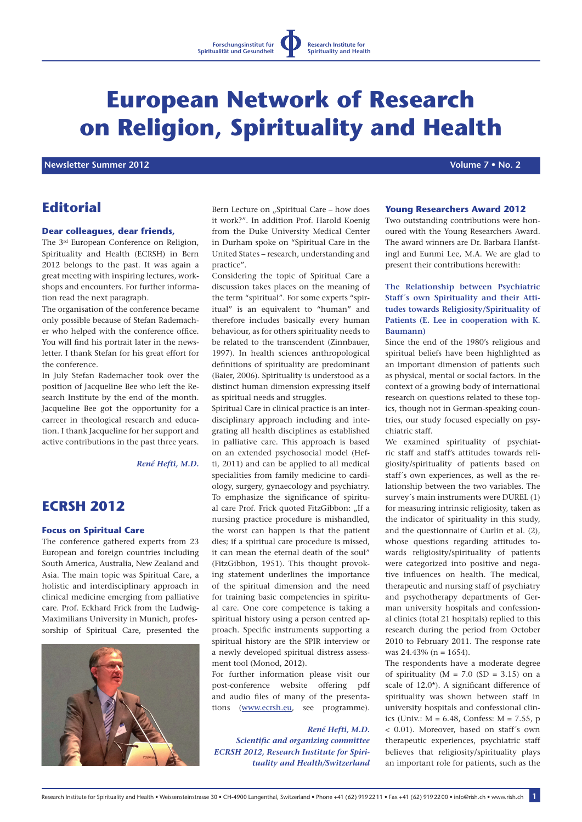# **European Network of Research on Religion, Spirituality and Health**

*Newsletter Summer 2012 No. 2**Newsletter Summer 2012* **<b>** *All the Second Additional Account 2012 No. 2**Volume 7 • No. 2**Volume 7 • No. 2**Volume 7 • No. 2**Volume 7 • No. 2**Volume 7 • No. 2**Volume 7 •* 

# **Editorial**

#### **Dear colleagues, dear friends,**

The 3rd European Conference on Religion, Spirituality and Health (ECRSH) in Bern 2012 belongs to the past. It was again a great meeting with inspiring lectures, workshops and encounters. For further information read the next paragraph.

The organisation of the conference became only possible because of Stefan Rademacher who helped with the conference office. You will find his portrait later in the newsletter. I thank Stefan for his great effort for the conference.

In July Stefan Rademacher took over the position of Jacqueline Bee who left the Research Institute by the end of the month. Jacqueline Bee got the opportunity for a carreer in theological research and education. I thank Jacqueline for her support and active contributions in the past three years.

*René Hefti, M.D.*

# **ECRSH 2012**

#### **Focus on Spiritual Care**

The conference gathered experts from 23 European and foreign countries including South America, Australia, New Zealand and Asia. The main topic was Spiritual Care, a holistic and interdisciplinary approach in clinical medicine emerging from palliative care. Prof. Eckhard Frick from the Ludwig-Maximilians University in Munich, professorship of Spiritual Care, presented the



Bern Lecture on "Spiritual Care – how does it work?". In addition Prof. Harold Koenig from the Duke University Medical Center in Durham spoke on "Spiritual Care in the United States – research, understanding and practice".

Considering the topic of Spiritual Care a discussion takes places on the meaning of the term "spiritual". For some experts "spiritual" is an equivalent to "human" and therefore includes basically every human behaviour, as for others spirituality needs to be related to the transcendent (Zinnbauer, 1997). In health sciences anthropological definitions of spirituality are predominant (Baier, 2006). Spirituality is understood as a distinct human dimension expressing itself as spiritual needs and struggles.

Spiritual Care in clinical practice is an interdisciplinary approach including and integrating all health disciplines as established in palliative care. This approach is based on an extended psychosocial model (Hefti, 2011) and can be applied to all medical specialities from family medicine to cardiology, surgery, gynaecology and psychiatry. To emphasize the significance of spiritual care Prof. Frick quoted FitzGibbon: "If a nursing practice procedure is mishandled, the worst can happen is that the patient dies; if a spiritual care procedure is missed, it can mean the eternal death of the soul" (FitzGibbon, 1951). This thought provoking statement underlines the importance of the spiritual dimension and the need for training basic competencies in spiritual care. One core competence is taking a spiritual history using a person centred approach. Specific instruments supporting a spiritual history are the SPIR interview or a newly developed spiritual distress assessment tool (Monod, 2012).

For further information please visit our post-conference website offering pdf and audio files of many of the presentations (www.ecrsh.eu, see programme).

## *René Hefti, M.D.*

*Scientific and organizing committee ECRSH 2012, Research Institute for Spirituality and Health/Switzerland*

## **Young Researchers Award 2012**

Two outstanding contributions were honoured with the Young Researchers Award. The award winners are Dr. Barbara Hanfstingl and Eunmi Lee, M.A. We are glad to present their contributions herewith:

## **The Relationship between Psychiatric Staff´s own Spirituality and their Attitudes towards Religiosity/Spirituality of Patients (E. Lee in cooperation with K. Baumann)**

Since the end of the 1980's religious and spiritual beliefs have been highlighted as an important dimension of patients such as physical, mental or social factors. In the context of a growing body of international research on questions related to these topics, though not in German-speaking countries, our study focused especially on psychiatric staff.

We examined spirituality of psychiatric staff and staff's attitudes towards religiosity/spirituality of patients based on staff´s own experiences, as well as the relationship between the two variables. The survey´s main instruments were DUREL (1) for measuring intrinsic religiosity, taken as the indicator of spirituality in this study, and the questionnaire of Curlin et al. (2), whose questions regarding attitudes towards religiosity/spirituality of patients were categorized into positive and negative influences on health. The medical, therapeutic and nursing staff of psychiatry and psychotherapy departments of German university hospitals and confessional clinics (total 21 hospitals) replied to this research during the period from October 2010 to February 2011. The response rate was 24.43% (n = 1654).

The respondents have a moderate degree of spirituality ( $M = 7.0$  (SD = 3.15) on a scale of 12.0\*). A significant difference of spirituality was shown between staff in university hospitals and confessional clinics (Univ.: M = 6.48, Confess: M = 7.55, p < 0.01). Moreover, based on staff´s own therapeutic experiences, psychiatric staff believes that religiosity/spirituality plays an important role for patients, such as the